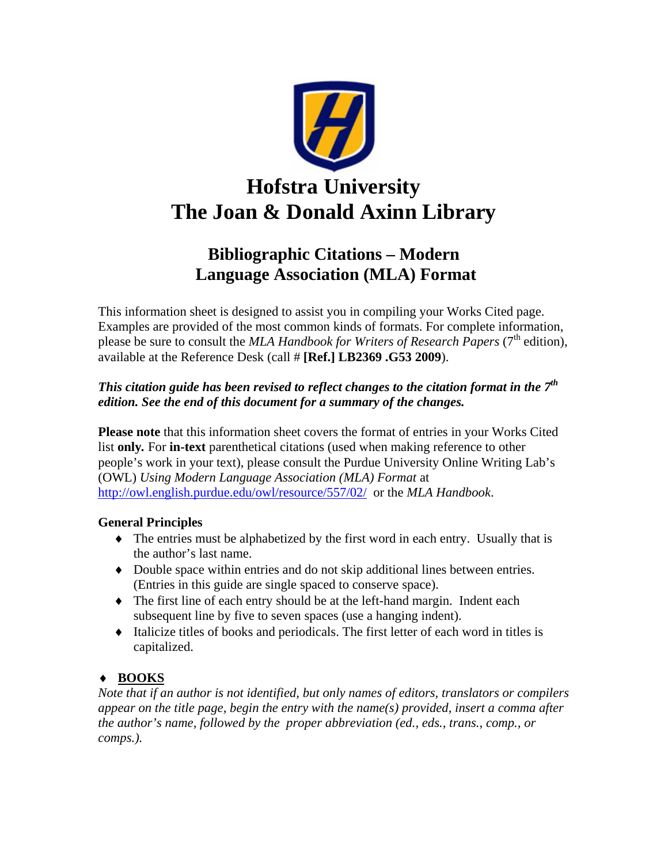

# **Bibliographic Citations – Modern Language Association (MLA) Format**

This information sheet is designed to assist you in compiling your Works Cited page. Examples are provided of the most common kinds of formats. For complete information, please be sure to consult the *MLA Handbook for Writers of Research Papers* (7<sup>th</sup> edition), available at the Reference Desk (call # **[Ref.] LB2369 .G53 2009**).

# *This citation guide has been revised to reflect changes to the citation format in the 7th edition. See the end of this document for a summary of the changes.*

**Please note** that this information sheet covers the format of entries in your Works Cited list **only***.* For **in-text** parenthetical citations (used when making reference to other people's work in your text), please consult the Purdue University Online Writing Lab's (OWL) *Using Modern Language Association (MLA) Format* at <http://owl.english.purdue.edu/owl/resource/557/02/> or the *MLA Handbook*.

# **General Principles**

- $\bullet$  The entries must be alphabetized by the first word in each entry. Usually that is the author's last name.
- ♦ Double space within entries and do not skip additional lines between entries. (Entries in this guide are single spaced to conserve space).
- ♦ The first line of each entry should be at the left-hand margin. Indent each subsequent line by five to seven spaces (use a hanging indent).
- ♦ Italicize titles of books and periodicals. The first letter of each word in titles is capitalized.

# ♦ **BOOKS**

*Note that if an author is not identified, but only names of editors, translators or compilers appear on the title page, begin the entry with the name(s) provided, insert a comma after the author's name, followed by the proper abbreviation (ed., eds., trans., comp., or comps.).*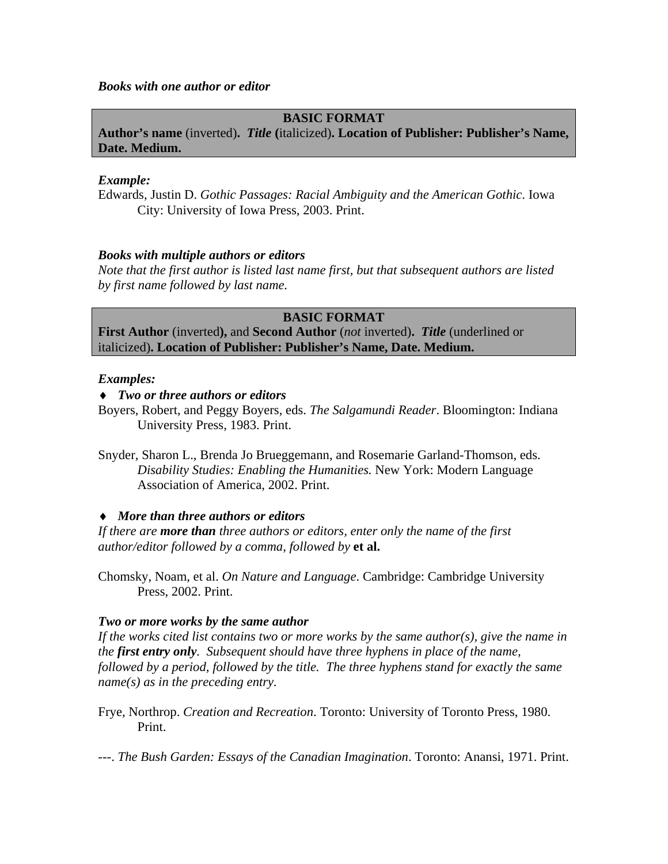*Books with one author or editor*

### **BASIC FORMAT**

**Author's name** (inverted)**.** *Title* **(**italicized)**. Location of Publisher: Publisher's Name, Date. Medium.** 

### *Example:*

Edwards, Justin D. *Gothic Passages: Racial Ambiguity and the American Gothic*. Iowa City: University of Iowa Press, 2003. Print.

### *Books with multiple authors or editors*

*Note that the first author is listed last name first, but that subsequent authors are listed by first name followed by last name.* 

### **BASIC FORMAT**

**First Author** (inverted**),** and **Second Author** (*not* inverted)**.** *Title* (underlined or italicized)**. Location of Publisher: Publisher's Name, Date. Medium.** 

### *Examples:*

### ♦ *Two or three authors or editors*

Boyers, Robert, and Peggy Boyers, eds. *The Salgamundi Reader*. Bloomington: Indiana University Press, 1983. Print.

Snyder, Sharon L., Brenda Jo Brueggemann, and Rosemarie Garland-Thomson, eds. *Disability Studies: Enabling the Humanities.* New York: Modern Language Association of America, 2002. Print.

### ♦ *More than three authors or editors*

*If there are more than three authors or editors, enter only the name of the first author/editor followed by a comma, followed by* **et al.** 

Chomsky, Noam, et al. *On Nature and Language*. Cambridge: Cambridge University Press, 2002. Print.

### *Two or more works by the same author*

*If the works cited list contains two or more works by the same author(s), give the name in the first entry only. Subsequent should have three hyphens in place of the name, followed by a period, followed by the title. The three hyphens stand for exactly the same name(s) as in the preceding entry.* 

Frye, Northrop. *Creation and Recreation*. Toronto: University of Toronto Press, 1980. Print.

---. *The Bush Garden: Essays of the Canadian Imagination*. Toronto: Anansi, 1971. Print.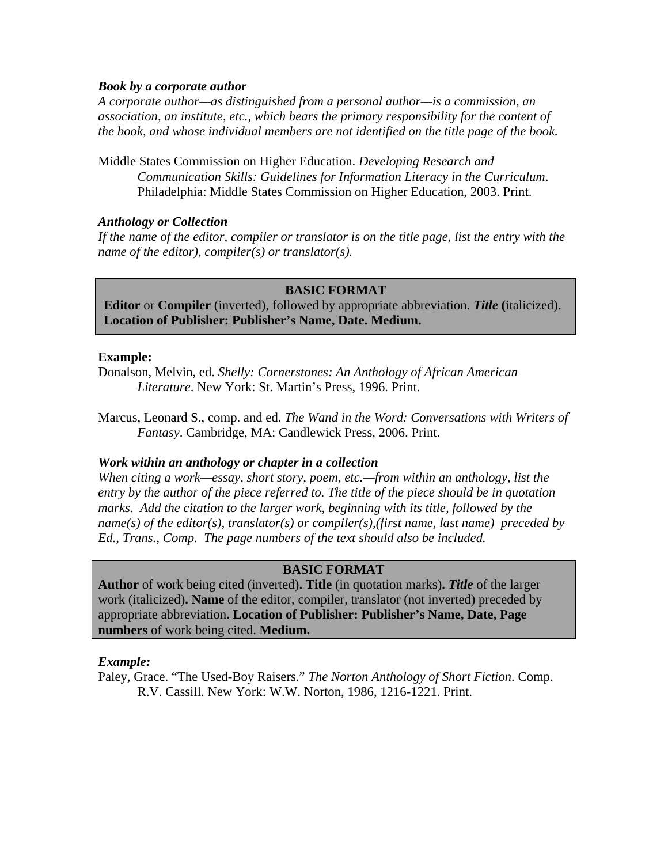### *Book by a corporate author*

*A corporate author—as distinguished from a personal author—is a commission, an association, an institute, etc., which bears the primary responsibility for the content of the book, and whose individual members are not identified on the title page of the book.*

Middle States Commission on Higher Education. *Developing Research and Communication Skills: Guidelines for Information Literacy in the Curriculum*. Philadelphia: Middle States Commission on Higher Education, 2003. Print.

### *Anthology or Collection*

If the name of the editor, compiler or translator is on the title page, list the entry with the *name of the editor), compiler(s) or translator(s).* 

### **BASIC FORMAT**

**Editor** or **Compiler** (inverted), followed by appropriate abbreviation. *Title* **(**italicized). **Location of Publisher: Publisher's Name, Date. Medium.**

### **Example:**

Donalson, Melvin, ed. *Shelly: Cornerstones: An Anthology of African American Literature*. New York: St. Martin's Press, 1996. Print.

Marcus, Leonard S., comp. and ed. *The Wand in the Word: Conversations with Writers of Fantasy*. Cambridge, MA: Candlewick Press, 2006. Print.

### *Work within an anthology or chapter in a collection*

*When citing a work—essay, short story, poem, etc.—from within an anthology, list the entry by the author of the piece referred to. The title of the piece should be in quotation marks. Add the citation to the larger work, beginning with its title, followed by the name(s) of the editor(s), translator(s) or compiler(s),(first name, last name) preceded by Ed., Trans., Comp. The page numbers of the text should also be included.* 

### **BASIC FORMAT**

**Author** of work being cited (inverted)**. Title** (in quotation marks)**.** *Title* of the larger work (italicized)**. Name** of the editor, compiler, translator (not inverted) preceded by appropriate abbreviation**. Location of Publisher: Publisher's Name, Date, Page numbers** of work being cited. **Medium.** 

### *Example:*

Paley, Grace. "The Used-Boy Raisers." *The Norton Anthology of Short Fiction*. Comp. R.V. Cassill. New York: W.W. Norton, 1986, 1216-1221. Print.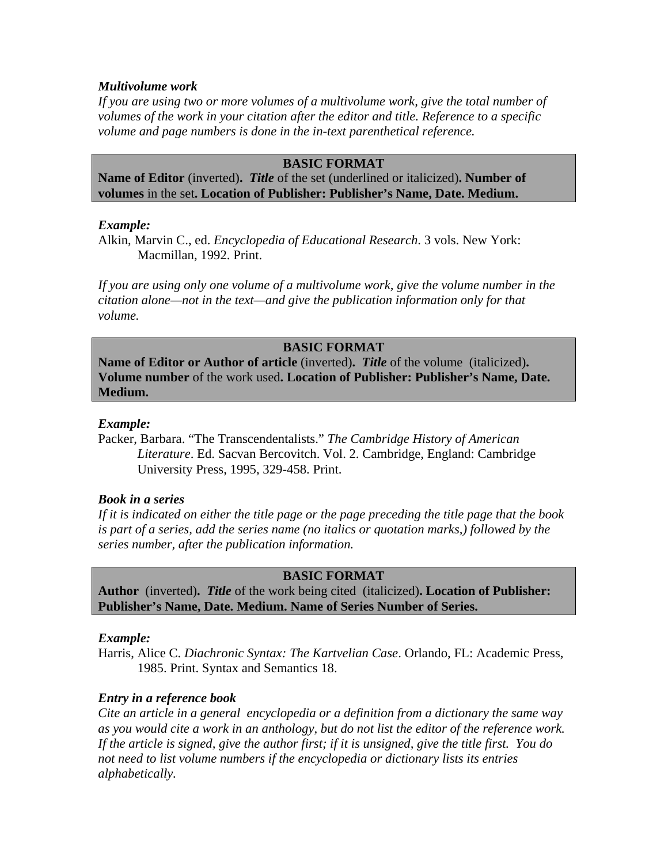### *Multivolume work*

*If you are using two or more volumes of a multivolume work, give the total number of volumes of the work in your citation after the editor and title. Reference to a specific volume and page numbers is done in the in-text parenthetical reference.* 

# **BASIC FORMAT**

**Name of Editor** (inverted)**.** *Title* of the set (underlined or italicized)**. Number of volumes** in the set**. Location of Publisher: Publisher's Name, Date. Medium.** 

### *Example:*

Alkin, Marvin C., ed. *Encyclopedia of Educational Research*. 3 vols. New York: Macmillan, 1992. Print.

*If you are using only one volume of a multivolume work, give the volume number in the citation alone—not in the text—and give the publication information only for that volume.* 

### **BASIC FORMAT**

**Name of Editor or Author of article** (inverted)**.** *Title* of the volume (italicized)**. Volume number** of the work used**. Location of Publisher: Publisher's Name, Date. Medium.** 

### *Example:*

Packer, Barbara. "The Transcendentalists." *The Cambridge History of American Literature*. Ed. Sacvan Bercovitch. Vol. 2. Cambridge, England: Cambridge University Press, 1995, 329-458. Print.

### *Book in a series*

*If it is indicated on either the title page or the page preceding the title page that the book is part of a series, add the series name (no italics or quotation marks,) followed by the series number, after the publication information.* 

### **BASIC FORMAT**

**Author** (inverted)**.** *Title* of the work being cited (italicized)**. Location of Publisher: Publisher's Name, Date. Medium. Name of Series Number of Series.** 

### *Example:*

Harris, Alice C. *Diachronic Syntax: The Kartvelian Case*. Orlando, FL: Academic Press, 1985. Print. Syntax and Semantics 18.

### *Entry in a reference book*

*Cite an article in a general encyclopedia or a definition from a dictionary the same way as you would cite a work in an anthology, but do not list the editor of the reference work. If the article is signed, give the author first; if it is unsigned, give the title first. You do not need to list volume numbers if the encyclopedia or dictionary lists its entries alphabetically.*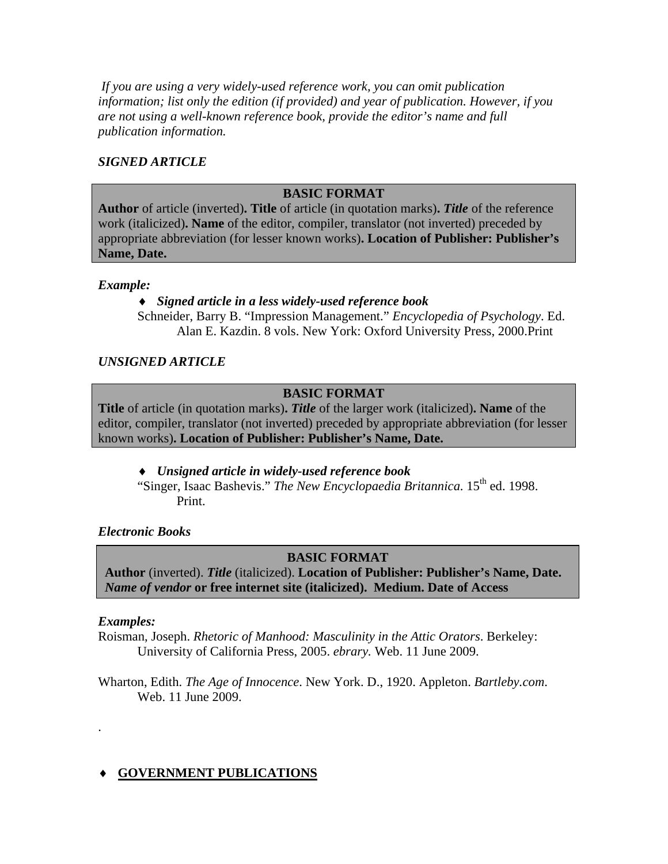*If you are using a very widely-used reference work, you can omit publication information; list only the edition (if provided) and year of publication. However, if you are not using a well-known reference book, provide the editor's name and full publication information.*

# *SIGNED ARTICLE*

# **BASIC FORMAT**

**Author** of article (inverted)**. Title** of article (in quotation marks)**.** *Title* of the reference work (italicized)**. Name** of the editor, compiler, translator (not inverted) preceded by appropriate abbreviation (for lesser known works)**. Location of Publisher: Publisher's Name, Date.** 

### *Example:*

# ♦ *Signed article in a less widely-used reference book*

Schneider, Barry B. "Impression Management." *Encyclopedia of Psychology*. Ed. Alan E. Kazdin. 8 vols. New York: Oxford University Press, 2000.Print

# *UNSIGNED ARTICLE*

# **BASIC FORMAT**

**Title** of article (in quotation marks)**.** *Title* of the larger work (italicized)**. Name** of the editor, compiler, translator (not inverted) preceded by appropriate abbreviation (for lesser known works)**. Location of Publisher: Publisher's Name, Date.** 

### ♦ *Unsigned article in widely-used reference book*

"Singer, Isaac Bashevis." *The New Encyclopaedia Britannica*. 15<sup>th</sup> ed. 1998. Print.

### *Electronic Books*

# **BASIC FORMAT**

**Author** (inverted). *Title* (italicized). **Location of Publisher: Publisher's Name, Date.**  *Name of vendor* or free internet site (italicized). Medium. Date of Access

### *Examples:*

.

Roisman, Joseph. *Rhetoric of Manhood: Masculinity in the Attic Orators*. Berkeley: University of California Press, 2005. *ebrary.* Web. 11 June 2009.

Wharton, Edith. *The Age of Innocence*. New York. D., 1920. Appleton. *Bartleby.com*. Web. 11 June 2009.

# ♦ **GOVERNMENT PUBLICATIONS**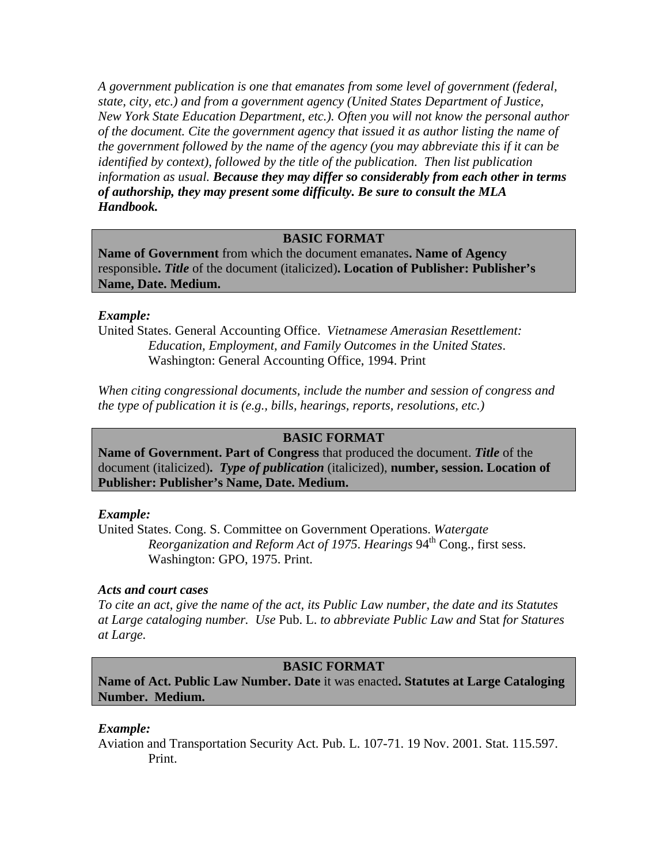*A government publication is one that emanates from some level of government (federal, state, city, etc.) and from a government agency (United States Department of Justice, New York State Education Department, etc.). Often you will not know the personal author of the document. Cite the government agency that issued it as author listing the name of the government followed by the name of the agency (you may abbreviate this if it can be identified by context), followed by the title of the publication. Then list publication information as usual. Because they may differ so considerably from each other in terms of authorship, they may present some difficulty. Be sure to consult the MLA Handbook.*

### **BASIC FORMAT**

**Name of Government** from which the document emanates**. Name of Agency**  responsible**.** *Title* of the document (italicized)**. Location of Publisher: Publisher's Name, Date. Medium.** 

#### *Example:*

United States. General Accounting Office. *Vietnamese Amerasian Resettlement: Education, Employment, and Family Outcomes in the United States*. Washington: General Accounting Office, 1994. Print

*When citing congressional documents, include the number and session of congress and the type of publication it is (e.g., bills, hearings, reports, resolutions, etc.)* 

### **BASIC FORMAT**

**Name of Government. Part of Congress** that produced the document. *Title* of the document (italicized)**.** *Type of publication* (italicized), **number, session. Location of Publisher: Publisher's Name, Date. Medium.** 

#### *Example:*

United States. Cong. S. Committee on Government Operations. *Watergate Reorganization and Reform Act of 1975. Hearings* 94<sup>th</sup> Cong., first sess. Washington: GPO, 1975. Print.

#### *Acts and court cases*

*To cite an act, give the name of the act, its Public Law number, the date and its Statutes at Large cataloging number. Use* Pub. L. *to abbreviate Public Law and* Stat *for Statures at Large.* 

# **BASIC FORMAT**

**Name of Act. Public Law Number. Date** it was enacted**. Statutes at Large Cataloging Number. Medium.** 

#### *Example:*

Aviation and Transportation Security Act. Pub. L. 107-71. 19 Nov. 2001. Stat. 115.597. Print.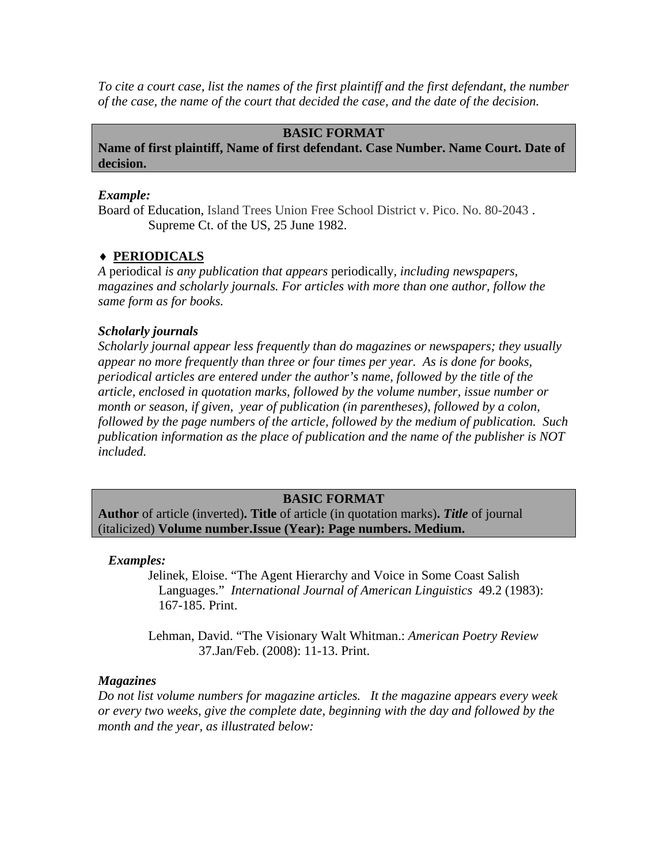*To cite a court case, list the names of the first plaintiff and the first defendant, the number of the case, the name of the court that decided the case, and the date of the decision.* 

### **BASIC FORMAT**

**Name of first plaintiff, Name of first defendant. Case Number. Name Court. Date of decision.** 

### *Example:*

Board of Education, Island Trees Union Free School District v. Pico. No. 80-2043 . Supreme Ct. of the US, 25 June 1982.

### ♦ **PERIODICALS**

*A* periodical *is any publication that appears* periodically*, including newspapers, magazines and scholarly journals. For articles with more than one author, follow the same form as for books.* 

### *Scholarly journals*

*Scholarly journal appear less frequently than do magazines or newspapers; they usually appear no more frequently than three or four times per year. As is done for books, periodical articles are entered under the author's name, followed by the title of the article, enclosed in quotation marks, followed by the volume number, issue number or month or season, if given, year of publication (in parentheses), followed by a colon, followed by the page numbers of the article, followed by the medium of publication. Such publication information as the place of publication and the name of the publisher is NOT included.* 

### **BASIC FORMAT**

**Author** of article (inverted)**. Title** of article (in quotation marks)**.** *Title* of journal (italicized) **Volume number.Issue (Year): Page numbers. Medium.** 

### *Examples:*

 Jelinek, Eloise. "The Agent Hierarchy and Voice in Some Coast Salish Languages." *International Journal of American Linguistics* 49.2 (1983): 167-185. Print.

Lehman, David. "The Visionary Walt Whitman.: *American Poetry Review* 37.Jan/Feb. (2008): 11-13. Print.

### *Magazines*

*Do not list volume numbers for magazine articles. It the magazine appears every week or every two weeks, give the complete date, beginning with the day and followed by the month and the year, as illustrated below:*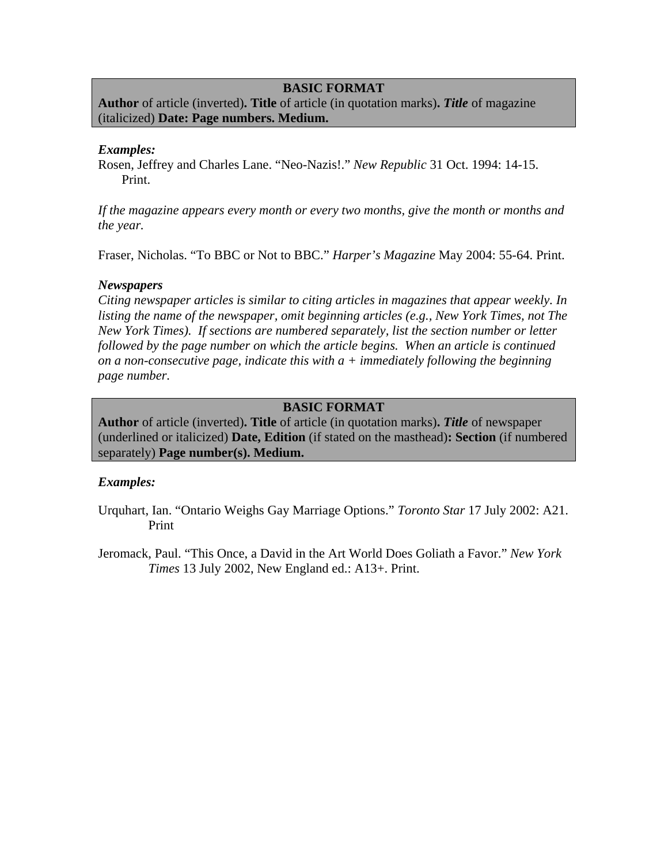### **BASIC FORMAT**

**Author** of article (inverted)**. Title** of article (in quotation marks)**.** *Title* of magazine (italicized) **Date: Page numbers. Medium.** 

### *Examples:*

Rosen, Jeffrey and Charles Lane. "Neo-Nazis!." *New Republic* 31 Oct. 1994: 14-15. Print.

*If the magazine appears every month or every two months, give the month or months and the year.* 

Fraser, Nicholas. "To BBC or Not to BBC." *Harper's Magazine* May 2004: 55-64. Print.

### *Newspapers*

*Citing newspaper articles is similar to citing articles in magazines that appear weekly. In listing the name of the newspaper, omit beginning articles (e.g., New York Times, not The New York Times). If sections are numbered separately, list the section number or letter followed by the page number on which the article begins. When an article is continued on a non-consecutive page, indicate this with a + immediately following the beginning page number.* 

### **BASIC FORMAT**

**Author** of article (inverted)**. Title** of article (in quotation marks)**.** *Title* of newspaper (underlined or italicized) **Date, Edition** (if stated on the masthead)**: Section** (if numbered separately) **Page number(s). Medium.** 

### *Examples:*

- Urquhart, Ian. "Ontario Weighs Gay Marriage Options." *Toronto Star* 17 July 2002: A21. Print
- Jeromack, Paul. "This Once, a David in the Art World Does Goliath a Favor." *New York Times* 13 July 2002, New England ed.: A13+. Print.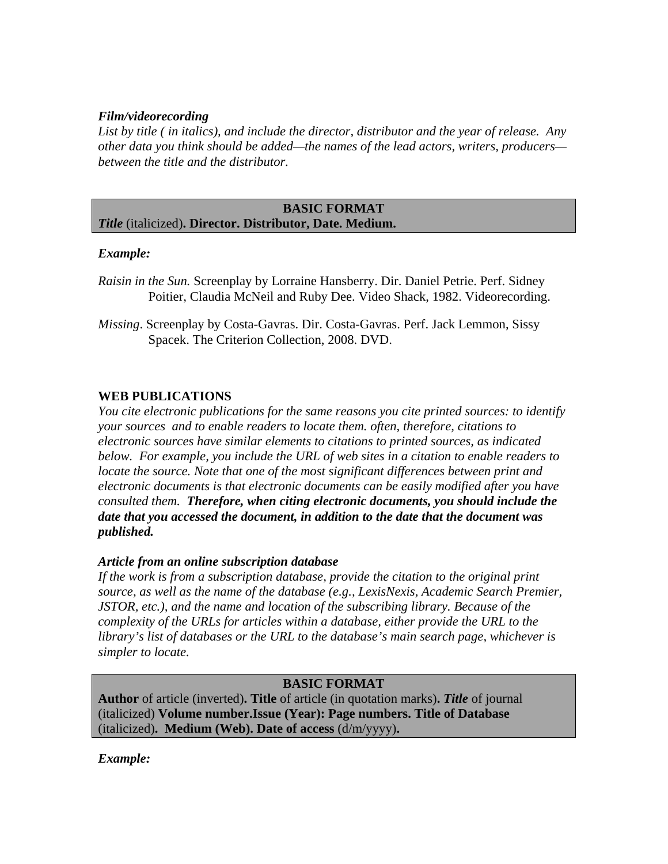### *Film/videorecording*

*List by title ( in italics), and include the director, distributor and the year of release. Any other data you think should be added—the names of the lead actors, writers, producers between the title and the distributor.* 

#### **BASIC FORMAT**  *Title* (italicized)**. Director. Distributor, Date. Medium.**

# *Example:*

- *Raisin in the Sun.* Screenplay by Lorraine Hansberry. Dir. Daniel Petrie. Perf. Sidney Poitier, Claudia McNeil and Ruby Dee. Video Shack, 1982. Videorecording.
- *Missing*. Screenplay by Costa-Gavras. Dir. Costa-Gavras. Perf. Jack Lemmon, Sissy Spacek. The Criterion Collection, 2008. DVD.

# **WEB PUBLICATIONS**

*You cite electronic publications for the same reasons you cite printed sources: to identify your sources and to enable readers to locate them. often, therefore, citations to electronic sources have similar elements to citations to printed sources, as indicated below. For example, you include the URL of web sites in a citation to enable readers to locate the source. Note that one of the most significant differences between print and electronic documents is that electronic documents can be easily modified after you have consulted them. Therefore, when citing electronic documents, you should include the date that you accessed the document, in addition to the date that the document was published.* 

### *Article from an online subscription database*

*If the work is from a subscription database, provide the citation to the original print source, as well as the name of the database (e.g., LexisNexis, Academic Search Premier, JSTOR, etc.), and the name and location of the subscribing library. Because of the complexity of the URLs for articles within a database, either provide the URL to the library's list of databases or the URL to the database's main search page, whichever is simpler to locate.* 

### **BASIC FORMAT**

**Author** of article (inverted)**. Title** of article (in quotation marks)**.** *Title* of journal (italicized) **Volume number.Issue (Year): Page numbers. Title of Database**  (italicized)**. Medium (Web). Date of access** (d/m/yyyy)**.** 

### *Example:*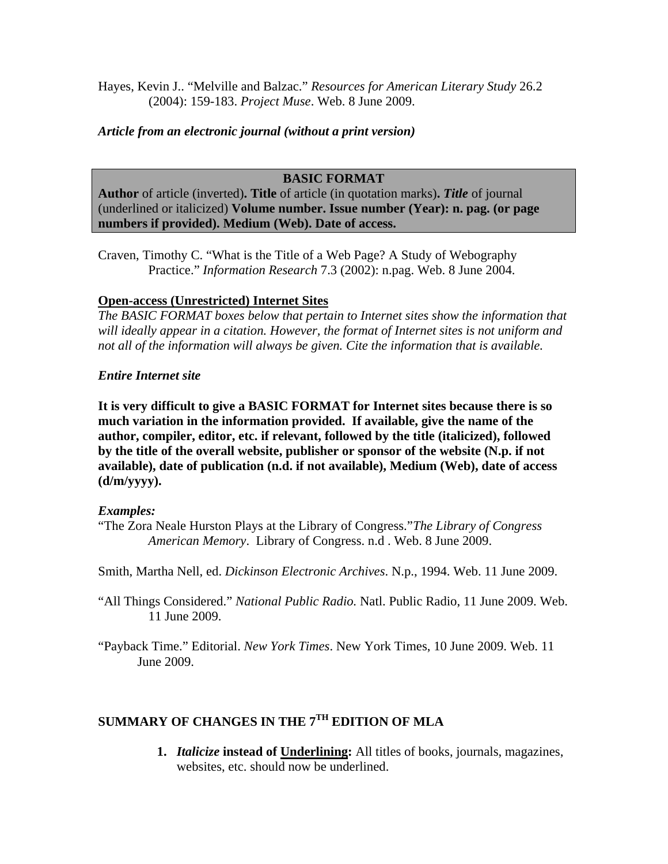Hayes, Kevin J.. "Melville and Balzac." *Resources for American Literary Study* 26.2 (2004): 159-183. *Project Muse*. Web. 8 June 2009.

# *Article from an electronic journal (without a print version)*

# **BASIC FORMAT**

**Author** of article (inverted)**. Title** of article (in quotation marks)**.** *Title* of journal (underlined or italicized) **Volume number. Issue number (Year): n. pag. (or page numbers if provided). Medium (Web). Date of access.** 

Craven, Timothy C. "What is the Title of a Web Page? A Study of Webography Practice." *Information Research* 7.3 (2002): n.pag. Web. 8 June 2004.

# **Open-access (Unrestricted) Internet Sites**

*The BASIC FORMAT boxes below that pertain to Internet sites show the information that will ideally appear in a citation. However, the format of Internet sites is not uniform and not all of the information will always be given. Cite the information that is available.* 

# *Entire Internet site*

**It is very difficult to give a BASIC FORMAT for Internet sites because there is so much variation in the information provided. If available, give the name of the author, compiler, editor, etc. if relevant, followed by the title (italicized), followed by the title of the overall website, publisher or sponsor of the website (N.p. if not available), date of publication (n.d. if not available), Medium (Web), date of access (d/m/yyyy).** 

### *Examples:*

"The Zora Neale Hurston Plays at the Library of Congress."*The Library of Congress American Memory*. Library of Congress. n.d . Web. 8 June 2009.

Smith, Martha Nell, ed. *Dickinson Electronic Archives*. N.p., 1994. Web. 11 June 2009.

"All Things Considered." *National Public Radio.* Natl. Public Radio, 11 June 2009. Web. 11 June 2009.

"Payback Time." Editorial. *New York Times*. New York Times, 10 June 2009. Web. 11 June 2009.

# **SUMMARY OF CHANGES IN THE 7TH EDITION OF MLA**

**1.** *Italicize* **instead of Underlining:** All titles of books, journals, magazines, websites, etc. should now be underlined.